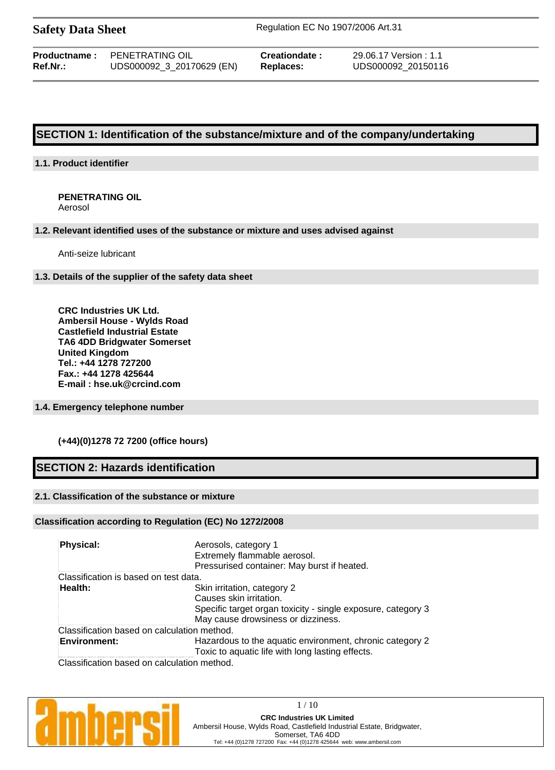| Productname : | PENETRATING OIL           |
|---------------|---------------------------|
| Ref.Nr.:      | UDS000092_3_20170629 (EN) |

**Creationdate :** 29.06.17 Version : 1.1 **Replaces:** UDS000092 20150116

# **SECTION 1: Identification of the substance/mixture and of the company/undertaking**

## **1.1. Product identifier**

# **PENETRATING OIL**

Aerosol

## **1.2. Relevant identified uses of the substance or mixture and uses advised against**

Anti-seize lubricant

## **1.3. Details of the supplier of the safety data sheet**

**CRC Industries UK Ltd. Ambersil House - Wylds Road Castlefield Industrial Estate TA6 4DD Bridgwater Somerset United Kingdom Tel.: +44 1278 727200 Fax.: +44 1278 425644 E-mail : hse.uk@crcind.com**

## **1.4. Emergency telephone number**

## **(+44)(0)1278 72 7200 (office hours)**

# **SECTION 2: Hazards identification**

## **2.1. Classification of the substance or mixture**

## **Classification according to Regulation (EC) No 1272/2008**

| <b>Physical:</b>                                                   | Aerosols, category 1<br>Extremely flammable aerosol.<br>Pressurised container: May burst if heated.                                                          |
|--------------------------------------------------------------------|--------------------------------------------------------------------------------------------------------------------------------------------------------------|
| Classification is based on test data.                              |                                                                                                                                                              |
| Health:                                                            | Skin irritation, category 2<br>Causes skin irritation.<br>Specific target organ toxicity - single exposure, category 3<br>May cause drowsiness or dizziness. |
| Classification based on calculation method.<br><b>Environment:</b> | Hazardous to the aquatic environment, chronic category 2<br>Toxic to aquatic life with long lasting effects.                                                 |
| Clossification boogd on coloulation mothed                         |                                                                                                                                                              |

Classification based on calculation method.

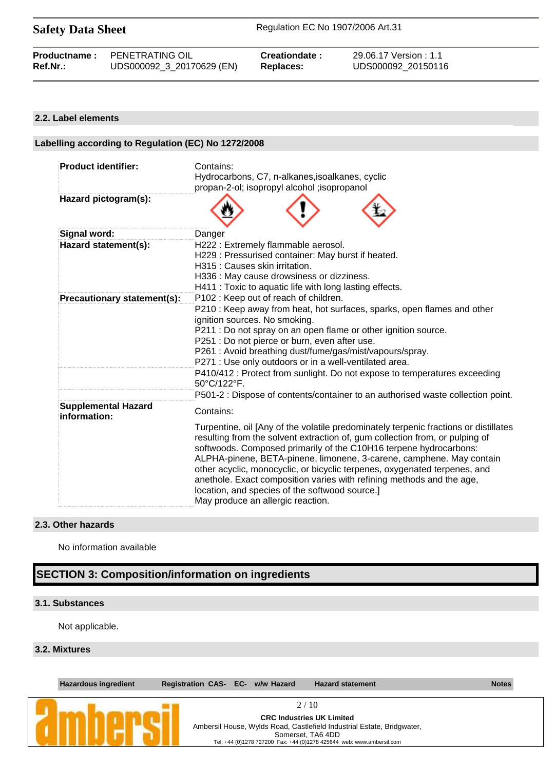## **2.2. Label elements**

| Labelling according to Regulation (EC) No 1272/2008 |                                                                                                                                                                                                                                                                                                                                                                                                                                                                                                                                                                |
|-----------------------------------------------------|----------------------------------------------------------------------------------------------------------------------------------------------------------------------------------------------------------------------------------------------------------------------------------------------------------------------------------------------------------------------------------------------------------------------------------------------------------------------------------------------------------------------------------------------------------------|
| <b>Product identifier:</b>                          | Contains:<br>Hydrocarbons, C7, n-alkanes, isoalkanes, cyclic<br>propan-2-ol; isopropyl alcohol ; isopropanol                                                                                                                                                                                                                                                                                                                                                                                                                                                   |
| Hazard pictogram(s):                                |                                                                                                                                                                                                                                                                                                                                                                                                                                                                                                                                                                |
| Signal word:                                        | Danger                                                                                                                                                                                                                                                                                                                                                                                                                                                                                                                                                         |
| Hazard statement(s):                                | H222 : Extremely flammable aerosol.<br>H229 : Pressurised container: May burst if heated.<br>H315 : Causes skin irritation.<br>H336 : May cause drowsiness or dizziness.<br>H411 : Toxic to aquatic life with long lasting effects.                                                                                                                                                                                                                                                                                                                            |
| Precautionary statement(s):                         | P102: Keep out of reach of children.                                                                                                                                                                                                                                                                                                                                                                                                                                                                                                                           |
|                                                     | P210 : Keep away from heat, hot surfaces, sparks, open flames and other<br>ignition sources. No smoking.<br>P211 : Do not spray on an open flame or other ignition source.<br>P251 : Do not pierce or burn, even after use.<br>P261 : Avoid breathing dust/fume/gas/mist/vapours/spray.<br>P271 : Use only outdoors or in a well-ventilated area.<br>P410/412 : Protect from sunlight. Do not expose to temperatures exceeding<br>50°C/122°F.<br>P501-2 : Dispose of contents/container to an authorised waste collection point.                               |
| <b>Supplemental Hazard</b><br>information:          | Contains:                                                                                                                                                                                                                                                                                                                                                                                                                                                                                                                                                      |
|                                                     | Turpentine, oil [Any of the volatile predominately terpenic fractions or distillates<br>resulting from the solvent extraction of, gum collection from, or pulping of<br>softwoods. Composed primarily of the C10H16 terpene hydrocarbons:<br>ALPHA-pinene, BETA-pinene, limonene, 3-carene, camphene. May contain<br>other acyclic, monocyclic, or bicyclic terpenes, oxygenated terpenes, and<br>anethole. Exact composition varies with refining methods and the age,<br>location, and species of the softwood source.]<br>May produce an allergic reaction. |

## **2.3. Other hazards**

No information available

# **SECTION 3: Composition/information on ingredients**

## **3.1. Substances**

Not applicable.

## **3.2. Mixtures**

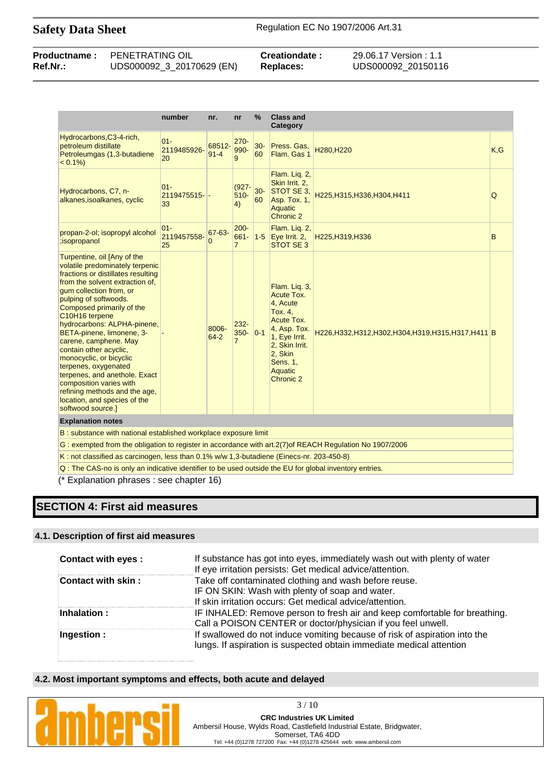| <b>Productname:</b> | PENETRATING OIL           | Creationdate:    | 29.06.17 Version: 1.1 |
|---------------------|---------------------------|------------------|-----------------------|
| Ref.Nr.:            | UDS000092_3_20170629 (EN) | <b>Replaces:</b> | UDS000092 20150116    |

|                                                                                                                                                                                                                                                                                                                                                                                                                                                                                                                                                                | number                      | nr.                | nr                                   | $\%$         | <b>Class and</b><br>Category                                                                                                                                              |                                                        |      |
|----------------------------------------------------------------------------------------------------------------------------------------------------------------------------------------------------------------------------------------------------------------------------------------------------------------------------------------------------------------------------------------------------------------------------------------------------------------------------------------------------------------------------------------------------------------|-----------------------------|--------------------|--------------------------------------|--------------|---------------------------------------------------------------------------------------------------------------------------------------------------------------------------|--------------------------------------------------------|------|
| Hydrocarbons, C3-4-rich,<br>petroleum distillate<br>Petroleumgas (1,3-butadiene<br>$< 0.1\%$                                                                                                                                                                                                                                                                                                                                                                                                                                                                   | $01 -$<br>2119485926-<br>20 | 68512-<br>$91 - 4$ | $270 -$<br>990-<br>$\mathbf{Q}$      | $30 -$<br>60 | Press. Gas.<br>Flam. Gas 1                                                                                                                                                | H280, H220                                             | K, G |
| Hydrocarbons, C7, n-<br>alkanes, isoalkanes, cyclic                                                                                                                                                                                                                                                                                                                                                                                                                                                                                                            | $01 -$<br>2119475515-<br>33 |                    | $(927 -$<br>$510 -$<br>4)            | $30 -$<br>60 | Flam. Liq. 2,<br>Skin Irrit. 2.<br>STOT SE 3.<br>Asp. Tox. 1,<br><b>Aquatic</b><br>Chronic 2                                                                              | H225, H315, H336, H304, H411                           | Q    |
| propan-2-ol; isopropyl alcohol<br>;isopropanol                                                                                                                                                                                                                                                                                                                                                                                                                                                                                                                 | $01 -$<br>2119457558-<br>25 | 67-63-<br>$\Omega$ | $200 -$<br>$661 -$<br>$\overline{7}$ | $1-5$        | Flam. Lig. 2.<br>Eye Irrit. 2,<br><b>STOT SE 3</b>                                                                                                                        | H225, H319, H336                                       | B    |
| Turpentine, oil [Any of the<br>volatile predominately terpenic<br>fractions or distillates resulting<br>from the solvent extraction of.<br>gum collection from, or<br>pulping of softwoods.<br>Composed primarily of the<br>C10H16 terpene<br>hydrocarbons: ALPHA-pinene,<br>BETA-pinene, limonene, 3-<br>carene, camphene. May<br>contain other acyclic,<br>monocyclic, or bicyclic<br>terpenes, oxygenated<br>terpenes, and anethole. Exact<br>composition varies with<br>refining methods and the age,<br>location, and species of the<br>softwood source.] |                             | 8006-<br>$64 - 2$  | $232 -$<br>$350 -$<br>$\overline{7}$ | $0 - 1$      | Flam. Lig. 3.<br>Acute Tox.<br>4, Acute<br>Tox. 4,<br><b>Acute Tox.</b><br>4, Asp. Tox.<br>1, Eye Irrit.<br>2. Skin Irrit.<br>2, Skin<br>Sens. 1.<br>Aquatic<br>Chronic 2 | H226, H332, H312, H302, H304, H319, H315, H317, H411 B |      |
| <b>Explanation notes</b>                                                                                                                                                                                                                                                                                                                                                                                                                                                                                                                                       |                             |                    |                                      |              |                                                                                                                                                                           |                                                        |      |
| B : substance with national established workplace exposure limit                                                                                                                                                                                                                                                                                                                                                                                                                                                                                               |                             |                    |                                      |              |                                                                                                                                                                           |                                                        |      |
| G: exempted from the obligation to register in accordance with art.2(7) of REACH Regulation No 1907/2006                                                                                                                                                                                                                                                                                                                                                                                                                                                       |                             |                    |                                      |              |                                                                                                                                                                           |                                                        |      |
| K: not classified as carcinogen, less than 0.1% w/w 1,3-butadiene (Einecs-nr. 203-450-8)                                                                                                                                                                                                                                                                                                                                                                                                                                                                       |                             |                    |                                      |              |                                                                                                                                                                           |                                                        |      |
| Q: The CAS-no is only an indicative identifier to be used outside the EU for global inventory entries.<br>$\mathcal{L}$ $\Gamma$ $\mathcal{L}$ $\mathcal{L}$ $\mathcal{L}$ $\mathcal{L}$ $\mathcal{L}$ $\mathcal{L}$ $\mathcal{L}$ $\mathcal{L}$ $\mathcal{L}$ $\mathcal{L}$ $\mathcal{L}$ $\mathcal{L}$ $\mathcal{L}$ $\mathcal{L}$ $\mathcal{L}$ $\mathcal{L}$ $\mathcal{L}$ $\mathcal{L}$ $\mathcal{L}$ $\mathcal{L}$ $\mathcal{L}$ $\mathcal{L}$ $\mathcal{L}$                                                                                             |                             |                    |                                      |              |                                                                                                                                                                           |                                                        |      |

(\* Explanation phrases : see chapter 16)

# **SECTION 4: First aid measures**

## **4.1. Description of first aid measures**

| Contact with eyes:  | If substance has got into eyes, immediately wash out with plenty of water<br>If eye irritation persists: Get medical advice/attention.                               |
|---------------------|----------------------------------------------------------------------------------------------------------------------------------------------------------------------|
| Contact with skin : | Take off contaminated clothing and wash before reuse.<br>IF ON SKIN: Wash with plenty of soap and water.<br>If skin irritation occurs: Get medical advice/attention. |
| Inhalation:         | IF INHALED: Remove person to fresh air and keep comfortable for breathing.<br>Call a POISON CENTER or doctor/physician if you feel unwell.                           |
| Ingestion :         | If swallowed do not induce vomiting because of risk of aspiration into the<br>lungs. If aspiration is suspected obtain immediate medical attention                   |

## **4.2. Most important symptoms and effects, both acute and delayed**

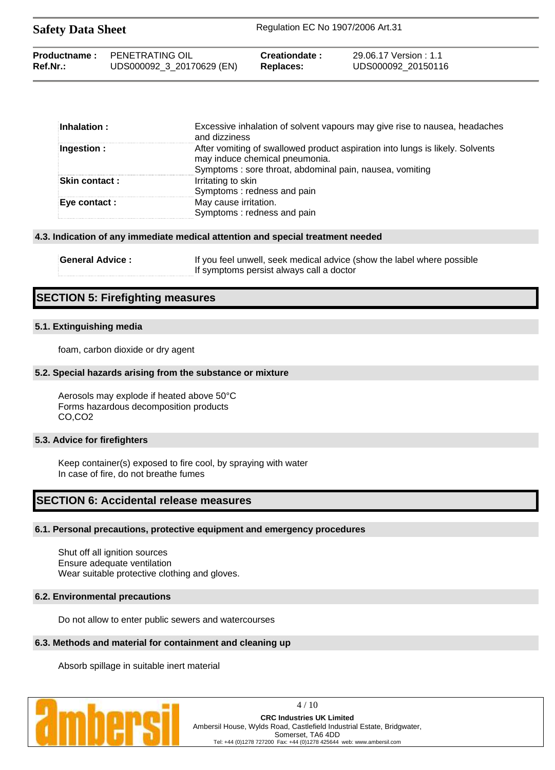| <b>Safety Data Sheet</b> |                           | Regulation EC No 1907/2006 Art.31 |                        |  |
|--------------------------|---------------------------|-----------------------------------|------------------------|--|
| Productname:             | PENETRATING OIL           | Creationdate:                     | 29.06.17 Version : 1.1 |  |
| Ref.Nr.:                 | UDS000092_3_20170629 (EN) | Replaces:                         | UDS000092 20150116     |  |

| $\blacksquare$ Inhalation : | Excessive inhalation of solvent vapours may give rise to nausea, headaches<br>and dizziness                                                                                |
|-----------------------------|----------------------------------------------------------------------------------------------------------------------------------------------------------------------------|
| Ingestion :                 | After vomiting of swallowed product aspiration into lungs is likely. Solvents<br>may induce chemical pneumonia.<br>Symptoms: sore throat, abdominal pain, nausea, vomiting |
| <b>Skin contact :</b>       | Irritating to skin<br>Symptoms: redness and pain                                                                                                                           |
| Eye contact :               | May cause irritation.<br>Symptoms: redness and pain                                                                                                                        |

#### **4.3. Indication of any immediate medical attention and special treatment needed**

| <b>General Advice:</b> | If you feel unwell, seek medical advice (show the label where possible |
|------------------------|------------------------------------------------------------------------|
|                        | If symptoms persist always call a doctor                               |

# **SECTION 5: Firefighting measures**

## **5.1. Extinguishing media**

foam, carbon dioxide or dry agent

#### **5.2. Special hazards arising from the substance or mixture**

Aerosols may explode if heated above 50°C Forms hazardous decomposition products CO,CO2

### **5.3. Advice for firefighters**

Keep container(s) exposed to fire cool, by spraying with water In case of fire, do not breathe fumes

## **SECTION 6: Accidental release measures**

### **6.1. Personal precautions, protective equipment and emergency procedures**

Shut off all ignition sources Ensure adequate ventilation Wear suitable protective clothing and gloves.

## **6.2. Environmental precautions**

Do not allow to enter public sewers and watercourses

#### **6.3. Methods and material for containment and cleaning up**

Absorb spillage in suitable inert material



4 / 10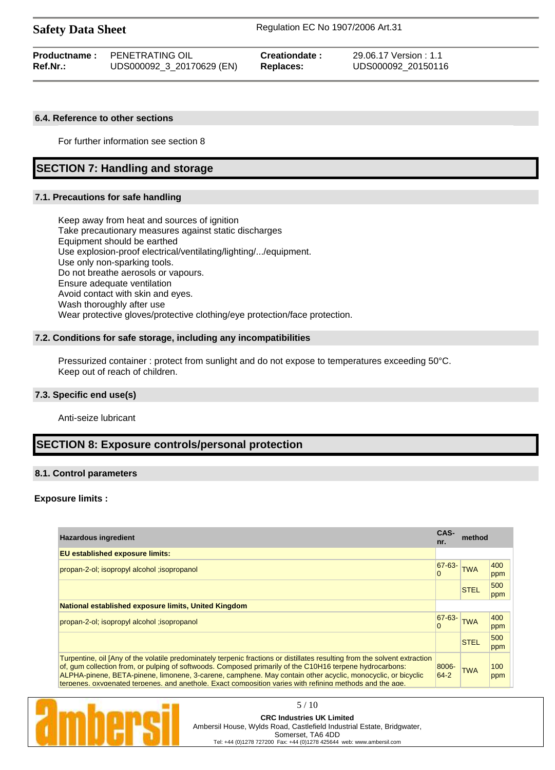|          | <b>Productname: PENETRATING OIL</b> | Creationdate: | 29.06.17 Version: 1.1 |
|----------|-------------------------------------|---------------|-----------------------|
| Ref.Nr.: | UDS000092_3_20170629 (EN)           | Replaces:     | UDS000092 20150116    |

### **6.4. Reference to other sections**

For further information see section 8

# **SECTION 7: Handling and storage**

### **7.1. Precautions for safe handling**

Keep away from heat and sources of ignition Take precautionary measures against static discharges Equipment should be earthed Use explosion-proof electrical/ventilating/lighting/.../equipment. Use only non-sparking tools. Do not breathe aerosols or vapours. Ensure adequate ventilation Avoid contact with skin and eyes. Wash thoroughly after use Wear protective gloves/protective clothing/eye protection/face protection.

### **7.2. Conditions for safe storage, including any incompatibilities**

Pressurized container : protect from sunlight and do not expose to temperatures exceeding 50°C. Keep out of reach of children.

## **7.3. Specific end use(s)**

Anti-seize lubricant

# **SECTION 8: Exposure controls/personal protection**

#### **8.1. Control parameters**

#### **Exposure limits :**

| <b>CAS-</b><br><b>Hazardous ingredient</b><br>nr.                                                                                                                                                                                                                                                                                                                                                                                                                 |                 | method      |            |
|-------------------------------------------------------------------------------------------------------------------------------------------------------------------------------------------------------------------------------------------------------------------------------------------------------------------------------------------------------------------------------------------------------------------------------------------------------------------|-----------------|-------------|------------|
| <b>EU established exposure limits:</b>                                                                                                                                                                                                                                                                                                                                                                                                                            |                 |             |            |
| propan-2-ol; isopropyl alcohol; isopropanol                                                                                                                                                                                                                                                                                                                                                                                                                       | 67-63-          | <b>TWA</b>  | 400<br>ppm |
|                                                                                                                                                                                                                                                                                                                                                                                                                                                                   |                 | <b>STEL</b> | 500<br>ppm |
| National established exposure limits, United Kingdom                                                                                                                                                                                                                                                                                                                                                                                                              |                 |             |            |
| propan-2-ol; isopropyl alcohol; isopropanol                                                                                                                                                                                                                                                                                                                                                                                                                       | 67-63-          |             | 400<br>ppm |
|                                                                                                                                                                                                                                                                                                                                                                                                                                                                   |                 | <b>STEL</b> | 500<br>ppm |
| Turpentine, oil (Any of the volatile predominately terpenic fractions or distillates resulting from the solvent extraction<br>of, gum collection from, or pulping of softwoods. Composed primarily of the C10H16 terpene hydrocarbons:<br>ALPHA-pinene, BETA-pinene, limonene, 3-carene, camphene. May contain other acyclic, monocyclic, or bicyclic<br>terpenes, oxygenated terpenes, and anethole. Exact composition varies with refining methods and the age. | 8006-<br>$64-2$ | <b>TWA</b>  | 100<br>ppm |

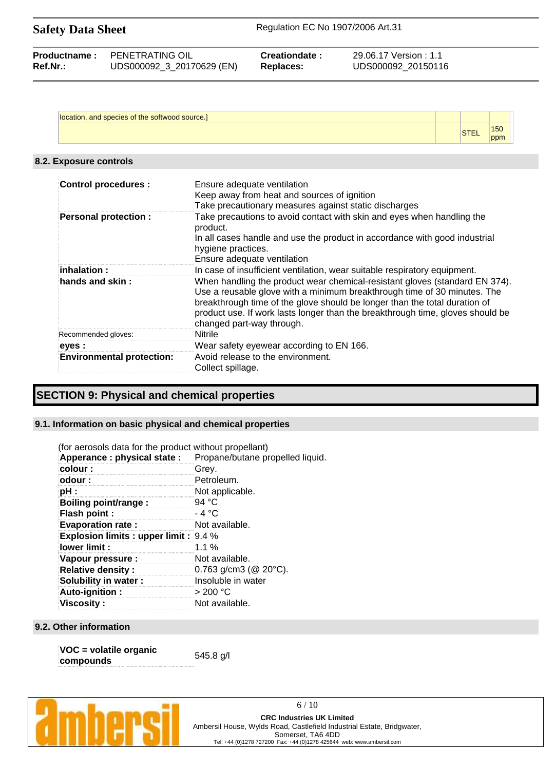| location, and species of the softwood source. |  |            |
|-----------------------------------------------|--|------------|
|                                               |  | 150<br>nnm |

## **8.2. Exposure controls**

| <b>Control procedures:</b>       | Ensure adequate ventilation<br>Keep away from heat and sources of ignition<br>Take precautionary measures against static discharges                                                                                                                                                                                                                  |
|----------------------------------|------------------------------------------------------------------------------------------------------------------------------------------------------------------------------------------------------------------------------------------------------------------------------------------------------------------------------------------------------|
| <b>Personal protection:</b>      | Take precautions to avoid contact with skin and eyes when handling the<br>product.<br>In all cases handle and use the product in accordance with good industrial<br>hygiene practices.<br>Ensure adequate ventilation                                                                                                                                |
| inhalation :                     | In case of insufficient ventilation, wear suitable respiratory equipment.                                                                                                                                                                                                                                                                            |
| hands and skin:                  | When handling the product wear chemical-resistant gloves (standard EN 374).<br>Use a reusable glove with a minimum breakthrough time of 30 minutes. The<br>breakthrough time of the glove should be longer than the total duration of<br>product use. If work lasts longer than the breakthrough time, gloves should be<br>changed part-way through. |
| Recommended gloves:              | Nitrile                                                                                                                                                                                                                                                                                                                                              |
| eyes :                           | Wear safety eyewear according to EN 166.                                                                                                                                                                                                                                                                                                             |
| <b>Environmental protection:</b> | Avoid release to the environment.<br>Collect spillage.                                                                                                                                                                                                                                                                                               |

# **SECTION 9: Physical and chemical properties**

## **9.1. Information on basic physical and chemical properties**

| (for aerosols data for the product without propellant) |                                  |
|--------------------------------------------------------|----------------------------------|
| Apperance : physical state :                           | Propane/butane propelled liquid. |
| colour:                                                | Grey.                            |
| odour:                                                 | Petroleum.                       |
| pH :                                                   | Not applicable.                  |
| Boiling point/range:                                   | 94 °C                            |
| <b>Flash point:</b>                                    | - 4 °C                           |
| <b>Evaporation rate:</b>                               | Not available.                   |
| <b>Explosion limits : upper limit : 9.4 %</b>          |                                  |
| lower limit :                                          | 1.1 $%$                          |
| Vapour pressure :                                      | Not available.                   |
| <b>Relative density:</b>                               | $0.763$ g/cm3 ( $@$ 20 $°C$ ).   |
| Solubility in water:                                   | Insoluble in water               |
| Auto-ignition:                                         | >200 °C                          |
| Viscosity :                                            | Not available.                   |

## **9.2. Other information**

**VOC = volatile organic compounds** 545.8 g/l

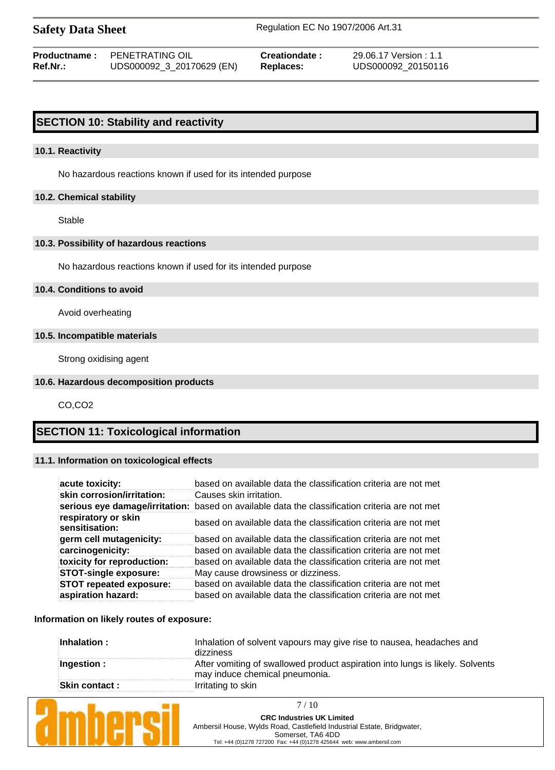| Ref.Nr.: | <b>Productname:</b> PENETRATING OIL | Creationdate: | 29.06.17 Version : 1.1 |
|----------|-------------------------------------|---------------|------------------------|
|          | UDS000092_3_20170629 (EN)           | Replaces:     | UDS000092 20150116     |
|          |                                     |               |                        |

# **SECTION 10: Stability and reactivity**

### **10.1. Reactivity**

No hazardous reactions known if used for its intended purpose

#### **10.2. Chemical stability**

Stable

### **10.3. Possibility of hazardous reactions**

No hazardous reactions known if used for its intended purpose

#### **10.4. Conditions to avoid**

Avoid overheating

## **10.5. Incompatible materials**

Strong oxidising agent

### **10.6. Hazardous decomposition products**

CO,CO2

# **SECTION 11: Toxicological information**

## **11.1. Information on toxicological effects**

| acute toxicity:                       | based on available data the classification criteria are not met                                |
|---------------------------------------|------------------------------------------------------------------------------------------------|
| skin corrosion/irritation:            | Causes skin irritation.                                                                        |
|                                       | serious eye damage/irritation: based on available data the classification criteria are not met |
| respiratory or skin<br>sensitisation: | based on available data the classification criteria are not met                                |
| germ cell mutagenicity:               | based on available data the classification criteria are not met                                |
| carcinogenicity:                      | based on available data the classification criteria are not met                                |
| toxicity for reproduction:            | based on available data the classification criteria are not met                                |
| <b>STOT-single exposure:</b>          | May cause drowsiness or dizziness.                                                             |
| <b>STOT repeated exposure:</b>        | based on available data the classification criteria are not met                                |
| aspiration hazard:                    | based on available data the classification criteria are not met                                |

#### **Information on likely routes of exposure:**

| $\blacksquare$ Inhalation : | Inhalation of solvent vapours may give rise to nausea, headaches and<br>dizziness                               |
|-----------------------------|-----------------------------------------------------------------------------------------------------------------|
| Ingestion :                 | After vomiting of swallowed product aspiration into lungs is likely. Solvents<br>may induce chemical pneumonia. |
| <b>Skin contact :</b>       | Irritating to skin                                                                                              |



7 / 10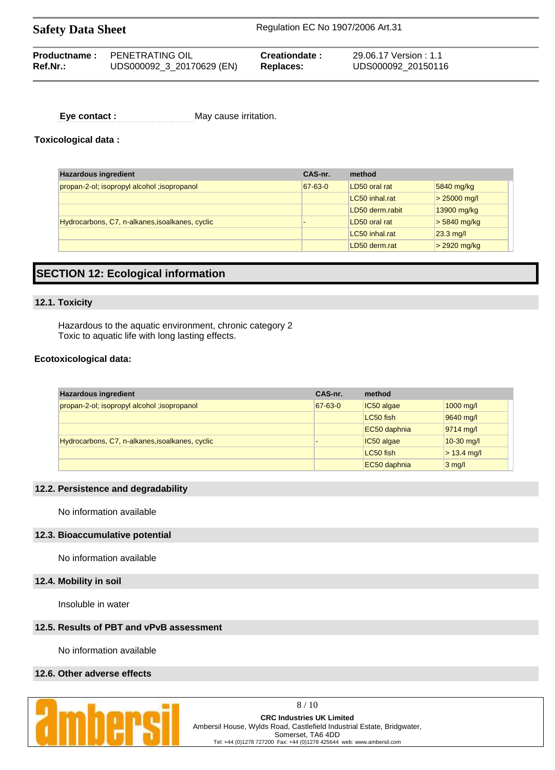| <b>Productname:</b> | <b>PENETRATING OIL</b>    | Creationdate: | 29.06.17 Version : 1.1 |
|---------------------|---------------------------|---------------|------------------------|
| $Ref.Nr.$ :         | UDS000092_3_20170629 (EN) | Replaces:     | UDS000092 20150116     |
|                     |                           |               |                        |

**Eye contact :** May cause irritation.

## **Toxicological data :**

| <b>Hazardous ingredient</b>                     | CAS-nr. | method          |                |
|-------------------------------------------------|---------|-----------------|----------------|
| propan-2-ol; isopropyl alcohol ; isopropanol    | 67-63-0 | LD50 oral rat   | 5840 mg/kg     |
|                                                 |         | LC50 inhal.rat  | $> 25000$ mg/l |
|                                                 |         | LD50 derm.rabit | 13900 mg/kg    |
| Hydrocarbons, C7, n-alkanes, isoalkanes, cyclic |         | LD50 oral rat   | $> 5840$ mg/kg |
|                                                 |         | LC50 inhal.rat  | $23.3$ mg/l    |
|                                                 |         | LD50 derm.rat   | $>$ 2920 mg/kg |

# **SECTION 12: Ecological information**

### **12.1. Toxicity**

Hazardous to the aquatic environment, chronic category 2 Toxic to aquatic life with long lasting effects.

## **Ecotoxicological data:**

| <b>Hazardous ingredient</b>                     | CAS-nr. | method       |               |
|-------------------------------------------------|---------|--------------|---------------|
| propan-2-ol; isopropyl alcohol; isopropanol     | 67-63-0 | IC50 algae   | $1000$ mg/l   |
|                                                 |         | LC50 fish    | 9640 mg/l     |
|                                                 |         | EC50 daphnia | $9714$ mg/l   |
| Hydrocarbons, C7, n-alkanes, isoalkanes, cyclic |         | IC50 algae   | $10-30$ mg/l  |
|                                                 |         | LC50 fish    | $> 13.4$ mg/l |
|                                                 |         | EC50 daphnia | $3$ mg/l      |

#### **12.2. Persistence and degradability**

No information available

#### **12.3. Bioaccumulative potential**

No information available

### **12.4. Mobility in soil**

Insoluble in water

## **12.5. Results of PBT and vPvB assessment**

No information available

## **12.6. Other adverse effects**



8 / 10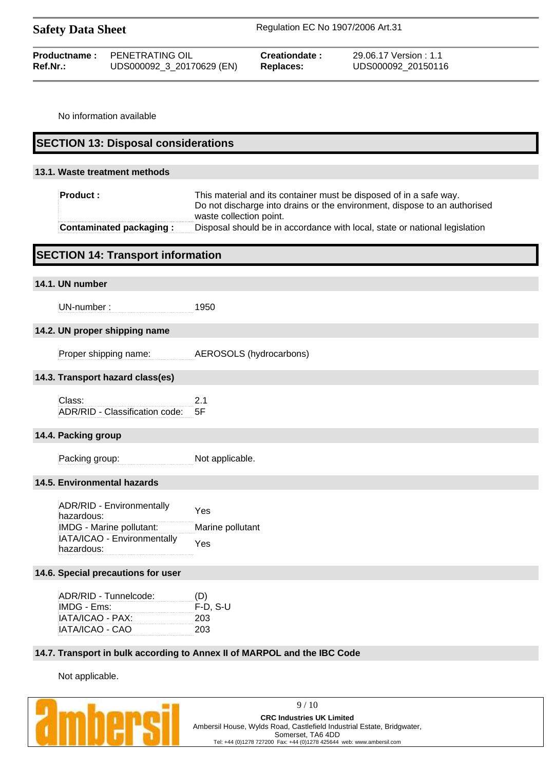| Productname:<br>Ref.Nr.:    | PENETRATING OIL<br>UDS000092_3_20170629 (EN)            |                         | Creationdate:<br><b>Replaces:</b> | 29.06.17 Version: 1.1<br>UDS000092_20150116                                                                                                     |
|-----------------------------|---------------------------------------------------------|-------------------------|-----------------------------------|-------------------------------------------------------------------------------------------------------------------------------------------------|
|                             | No information available                                |                         |                                   |                                                                                                                                                 |
|                             | <b>SECTION 13: Disposal considerations</b>              |                         |                                   |                                                                                                                                                 |
|                             | 13.1. Waste treatment methods                           |                         |                                   |                                                                                                                                                 |
| <b>Product:</b>             |                                                         |                         |                                   | This material and its container must be disposed of in a safe way.<br>Do not discharge into drains or the environment, dispose to an authorised |
|                             | <b>Contaminated packaging:</b>                          | waste collection point. |                                   | Disposal should be in accordance with local, state or national legislation                                                                      |
|                             | <b>SECTION 14: Transport information</b>                |                         |                                   |                                                                                                                                                 |
| 14.1. UN number             |                                                         |                         |                                   |                                                                                                                                                 |
| UN-number:                  |                                                         | 1950                    |                                   |                                                                                                                                                 |
|                             | 14.2. UN proper shipping name                           |                         |                                   |                                                                                                                                                 |
| Proper shipping name:       |                                                         |                         | AEROSOLS (hydrocarbons)           |                                                                                                                                                 |
|                             | 14.3. Transport hazard class(es)                        |                         |                                   |                                                                                                                                                 |
| Class:                      | ADR/RID - Classification code:                          | 2.1<br>5F               |                                   |                                                                                                                                                 |
| 14.4. Packing group         |                                                         |                         |                                   |                                                                                                                                                 |
| Packing group:              |                                                         | Not applicable.         |                                   |                                                                                                                                                 |
| 14.5. Environmental hazards |                                                         |                         |                                   |                                                                                                                                                 |
| hazardous:                  | ADR/RID - Environmentally                               | Yes                     |                                   |                                                                                                                                                 |
|                             | IMDG - Marine pollutant:<br>IATA/ICAO - Environmentally | Marine pollutant        |                                   |                                                                                                                                                 |
| hazardous:                  |                                                         | Yes                     |                                   |                                                                                                                                                 |
|                             | 14.6. Special precautions for user                      |                         |                                   |                                                                                                                                                 |
| ADR/RID - Tunnelcode:       |                                                         | (D)                     |                                   |                                                                                                                                                 |
| IMDG - Ems:                 |                                                         | $F-D, S-U$<br>203       |                                   |                                                                                                                                                 |
| IATA/ICAO - PAX:            |                                                         | 203                     |                                   |                                                                                                                                                 |

Not applicable.